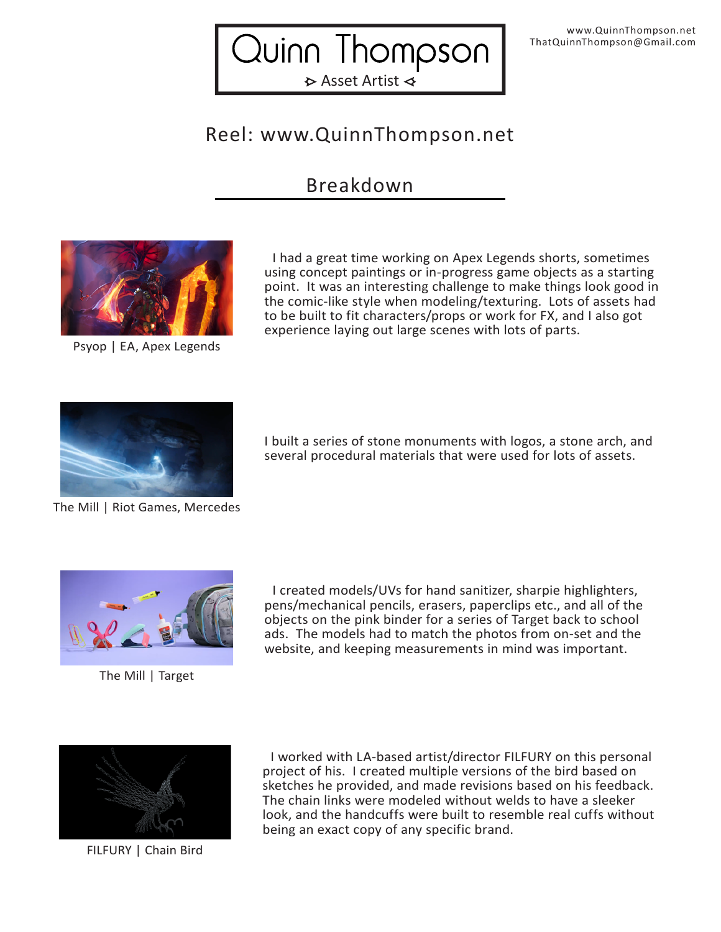Quinn Thompson  $\triangleright$  Asset Artist  $\triangleleft$ 

## Reel: www.QuinnThompson.net

## Breakdown



Psyop | EA, Apex Legends

 I had a great time working on Apex Legends shorts, sometimes using concept paintings or in-progress game objects as a starting point. It was an interesting challenge to make things look good in the comic-like style when modeling/texturing. Lots of assets had to be built to fit characters/props or work for FX, and I also got experience laying out large scenes with lots of parts.



I built a series of stone monuments with logos, a stone arch, and several procedural materials that were used for lots of assets.

The Mill | Riot Games, Mercedes



The Mill | Target

 I created models/UVs for hand sanitizer, sharpie highlighters, pens/mechanical pencils, erasers, paperclips etc., and all of the objects on the pink binder for a series of Target back to school ads. The models had to match the photos from on-set and the website, and keeping measurements in mind was important.



FILFURY | Chain Bird

 I worked with LA-based artist/director FILFURY on this personal project of his. I created multiple versions of the bird based on sketches he provided, and made revisions based on his feedback. The chain links were modeled without welds to have a sleeker look, and the handcuffs were built to resemble real cuffs without being an exact copy of any specific brand.